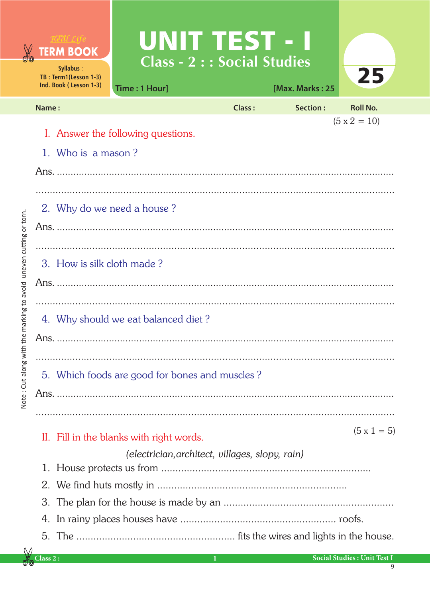|                         |                               | Real Life<br><b>TERM BOOK</b><br>Syllabus:<br>TB: Term1(Lesson 1-3)<br>Ind. Book (Lesson 1-3) | UNITTEST - I<br><b>Class - 2 : : Social Studies</b><br>Time: 1 Hour] |               | [Max. Marks: 25 | 25                                 |  |  |  |
|-------------------------|-------------------------------|-----------------------------------------------------------------------------------------------|----------------------------------------------------------------------|---------------|-----------------|------------------------------------|--|--|--|
|                         | Name:                         |                                                                                               |                                                                      | <b>Class:</b> | Section:        | <b>Roll No.</b>                    |  |  |  |
| uneven cutting or torn. |                               | $(5 \times 2 = 10)$<br>I. Answer the following questions.                                     |                                                                      |               |                 |                                    |  |  |  |
|                         |                               | 1. Who is a mason?                                                                            |                                                                      |               |                 |                                    |  |  |  |
|                         |                               |                                                                                               |                                                                      |               |                 |                                    |  |  |  |
|                         | 2. Why do we need a house?    |                                                                                               |                                                                      |               |                 |                                    |  |  |  |
|                         |                               |                                                                                               |                                                                      |               |                 |                                    |  |  |  |
|                         |                               |                                                                                               |                                                                      |               |                 |                                    |  |  |  |
|                         | 3. How is silk cloth made?    |                                                                                               |                                                                      |               |                 |                                    |  |  |  |
|                         |                               |                                                                                               |                                                                      |               |                 |                                    |  |  |  |
|                         |                               |                                                                                               |                                                                      |               |                 |                                    |  |  |  |
| the marking to avoid    |                               | 4. Why should we eat balanced diet?                                                           |                                                                      |               |                 |                                    |  |  |  |
|                         |                               |                                                                                               |                                                                      |               |                 |                                    |  |  |  |
| Note: Cut along with    |                               |                                                                                               |                                                                      |               |                 |                                    |  |  |  |
|                         |                               | 5. Which foods are good for bones and muscles?                                                |                                                                      |               |                 |                                    |  |  |  |
|                         |                               |                                                                                               |                                                                      |               |                 |                                    |  |  |  |
|                         |                               |                                                                                               |                                                                      |               |                 |                                    |  |  |  |
|                         |                               |                                                                                               | II. Fill in the blanks with right words.                             |               |                 | $(5 \times 1 = 5)$                 |  |  |  |
|                         |                               |                                                                                               | (electrician, architect, villages, slopy, rain)                      |               |                 |                                    |  |  |  |
|                         |                               |                                                                                               |                                                                      |               |                 |                                    |  |  |  |
|                         |                               |                                                                                               |                                                                      |               |                 |                                    |  |  |  |
|                         | 3.                            |                                                                                               |                                                                      |               |                 |                                    |  |  |  |
|                         |                               |                                                                                               |                                                                      |               |                 |                                    |  |  |  |
|                         |                               |                                                                                               |                                                                      |               |                 |                                    |  |  |  |
|                         | $\overline{\text{Class 2 :}}$ |                                                                                               |                                                                      | $\mathbf{1}$  |                 | <b>Social Studies: Unit Test I</b> |  |  |  |